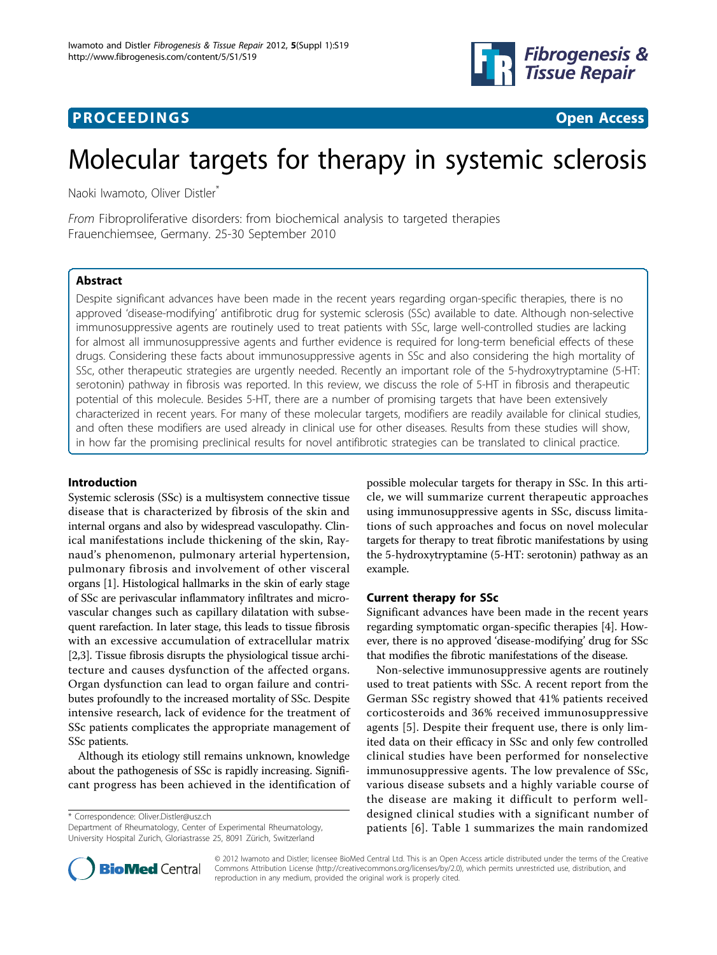



# Molecular targets for therapy in systemic sclerosis

Naoki Iwamoto, Oliver Distler<sup>\*</sup>

From Fibroproliferative disorders: from biochemical analysis to targeted therapies Frauenchiemsee, Germany. 25-30 September 2010

## Abstract

Despite significant advances have been made in the recent years regarding organ-specific therapies, there is no approved 'disease-modifying' antifibrotic drug for systemic sclerosis (SSc) available to date. Although non-selective immunosuppressive agents are routinely used to treat patients with SSc, large well-controlled studies are lacking for almost all immunosuppressive agents and further evidence is required for long-term beneficial effects of these drugs. Considering these facts about immunosuppressive agents in SSc and also considering the high mortality of SSc, other therapeutic strategies are urgently needed. Recently an important role of the 5-hydroxytryptamine (5-HT: serotonin) pathway in fibrosis was reported. In this review, we discuss the role of 5-HT in fibrosis and therapeutic potential of this molecule. Besides 5-HT, there are a number of promising targets that have been extensively characterized in recent years. For many of these molecular targets, modifiers are readily available for clinical studies, and often these modifiers are used already in clinical use for other diseases. Results from these studies will show, in how far the promising preclinical results for novel antifibrotic strategies can be translated to clinical practice.

## Introduction

Systemic sclerosis (SSc) is a multisystem connective tissue disease that is characterized by fibrosis of the skin and internal organs and also by widespread vasculopathy. Clinical manifestations include thickening of the skin, Raynaud's phenomenon, pulmonary arterial hypertension, pulmonary fibrosis and involvement of other visceral organs [\[1\]](#page-5-0). Histological hallmarks in the skin of early stage of SSc are perivascular inflammatory infiltrates and microvascular changes such as capillary dilatation with subsequent rarefaction. In later stage, this leads to tissue fibrosis with an excessive accumulation of extracellular matrix [[2,3](#page-5-0)]. Tissue fibrosis disrupts the physiological tissue architecture and causes dysfunction of the affected organs. Organ dysfunction can lead to organ failure and contributes profoundly to the increased mortality of SSc. Despite intensive research, lack of evidence for the treatment of SSc patients complicates the appropriate management of SSc patients.

Although its etiology still remains unknown, knowledge about the pathogenesis of SSc is rapidly increasing. Significant progress has been achieved in the identification of

\* Correspondence: [Oliver.Distler@usz.ch](mailto:Oliver.Distler@usz.ch)

Department of Rheumatology, Center of Experimental Rheumatology, University Hospital Zurich, Gloriastrasse 25, 8091 Zürich, Switzerland

possible molecular targets for therapy in SSc. In this article, we will summarize current therapeutic approaches using immunosuppressive agents in SSc, discuss limitations of such approaches and focus on novel molecular targets for therapy to treat fibrotic manifestations by using the 5-hydroxytryptamine (5-HT: serotonin) pathway as an example.

## Current therapy for SSc

Significant advances have been made in the recent years regarding symptomatic organ-specific therapies [[4\]](#page-5-0). However, there is no approved 'disease-modifying' drug for SSc that modifies the fibrotic manifestations of the disease.

Non-selective immunosuppressive agents are routinely used to treat patients with SSc. A recent report from the German SSc registry showed that 41% patients received corticosteroids and 36% received immunosuppressive agents [[5\]](#page-5-0). Despite their frequent use, there is only limited data on their efficacy in SSc and only few controlled clinical studies have been performed for nonselective immunosuppressive agents. The low prevalence of SSc, various disease subsets and a highly variable course of the disease are making it difficult to perform welldesigned clinical studies with a significant number of patients [[6](#page-5-0)]. Table [1](#page-1-0) summarizes the main randomized



© 2012 Iwamoto and Distler; licensee BioMed Central Ltd. This is an Open Access article distributed under the terms of the Creative Commons Attribution License [\(http://creativecommons.org/licenses/by/2.0](http://creativecommons.org/licenses/by/2.0)), which permits unrestricted use, distribution, and reproduction in any medium, provided the original work is properly cited.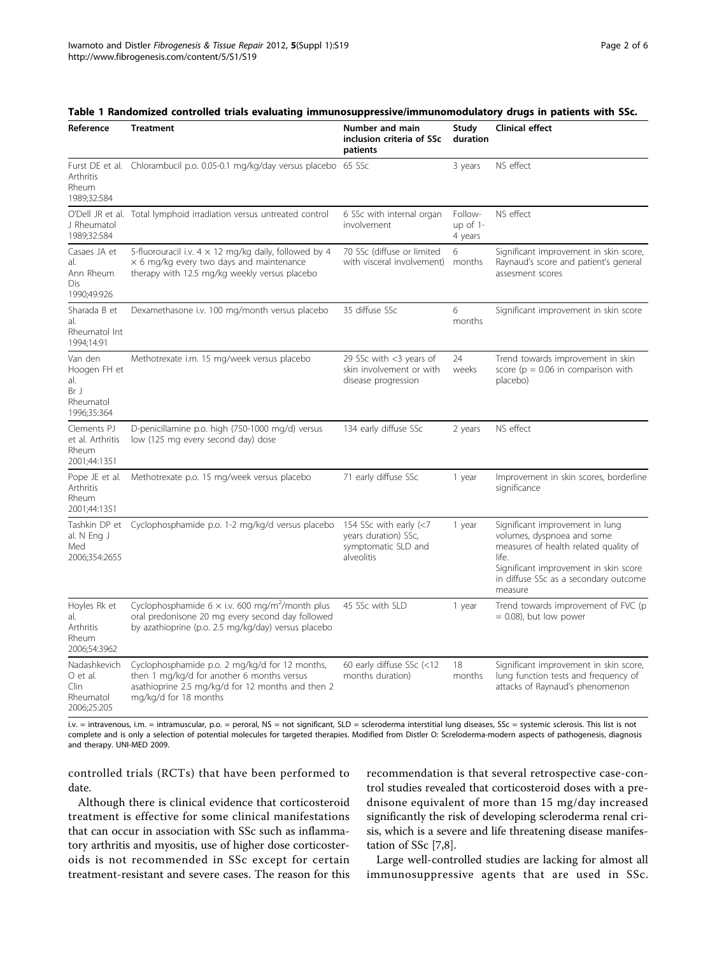al. Arthritis Rheum 2006;54:3962

Nadashkevich O et al. Clin Rheumatol 2006;25:205

| Reference                                                          | <b>Treatment</b>                                                                                                                                                 | Number and main<br>inclusion criteria of SSc<br>patients                            | Study<br>duration              | <b>Clinical effect</b>                                                                                                                                                                                       |
|--------------------------------------------------------------------|------------------------------------------------------------------------------------------------------------------------------------------------------------------|-------------------------------------------------------------------------------------|--------------------------------|--------------------------------------------------------------------------------------------------------------------------------------------------------------------------------------------------------------|
| Arthritis<br>Rheum<br>1989;32:584                                  | Furst DE et al. Chlorambucil p.o. 0.05-0.1 mg/kg/day versus placebo 65 SSc                                                                                       |                                                                                     | 3 years                        | NS effect                                                                                                                                                                                                    |
| J Rheumatol<br>1989;32:584                                         | O'Dell JR et al. Total lymphoid irradiation versus untreated control                                                                                             | 6 SSc with internal organ<br>involvement                                            | Follow-<br>up of 1-<br>4 years | NS effect                                                                                                                                                                                                    |
| Casaes JA et<br>al.<br>Ann Rheum<br>Dis<br>1990;49:926             | 5-fluorouracil i.v. $4 \times 12$ mg/kg daily, followed by 4<br>$\times$ 6 mg/kg every two days and maintenance<br>therapy with 12.5 mg/kg weekly versus placebo | 70 SSc (diffuse or limited<br>with visceral involvement)                            | 6<br>months                    | Significant improvement in skin score,<br>Raynaud's score and patient's general<br>assesment scores                                                                                                          |
| Sharada B et<br>al.<br>Rheumatol Int<br>1994:14:91                 | Dexamethasone i.v. 100 mg/month versus placebo                                                                                                                   | 35 diffuse SSc                                                                      | 6<br>months                    | Significant improvement in skin score                                                                                                                                                                        |
| Van den<br>Hoogen FH et<br>al.<br>Br J<br>Rheumatol<br>1996;35:364 | Methotrexate i.m. 15 mg/week versus placebo                                                                                                                      | 29 SSc with <3 years of<br>skin involvement or with<br>disease progression          | 24<br>weeks                    | Trend towards improvement in skin<br>score ( $p = 0.06$ in comparison with<br>placebo)                                                                                                                       |
| Clements PJ<br>et al. Arthritis<br>Rheum<br>2001;44:1351           | D-penicillamine p.o. high (750-1000 mg/d) versus<br>low (125 mg every second day) dose                                                                           | 134 early diffuse SSc                                                               | 2 years                        | NS effect                                                                                                                                                                                                    |
| Pope JE et al.<br>Arthritis<br>Rheum<br>2001;44:1351               | Methotrexate p.o. 15 mg/week versus placebo                                                                                                                      | 71 early diffuse SSc                                                                | 1 year                         | Improvement in skin scores, borderline<br>significance                                                                                                                                                       |
| Tashkin DP et<br>al. N Eng J<br>Med<br>2006;354:2655               | Cyclophosphamide p.o. 1-2 mg/kg/d versus placebo                                                                                                                 | 154 SSc with early (<7<br>years duration) SSc,<br>symptomatic SLD and<br>alveolitis | 1 year                         | Significant improvement in lung<br>volumes, dyspnoea and some<br>measures of health related quality of<br>life.<br>Significant improvement in skin score<br>in diffuse SSc as a secondary outcome<br>measure |
| Hoyles Rk et                                                       | Cyclophosphamide 6 $\times$ i.v. 600 mg/m <sup>2</sup> /month plus                                                                                               | 45 SSc with SLD                                                                     | 1 year                         | Trend towards improvement of FVC (p                                                                                                                                                                          |

<span id="page-1-0"></span>

|  |  |  |  |  | Table 1 Randomized controlled trials evaluating immunosuppressive/immunomodulatory drugs in patients with SSc. |  |  |  |
|--|--|--|--|--|----------------------------------------------------------------------------------------------------------------|--|--|--|
|--|--|--|--|--|----------------------------------------------------------------------------------------------------------------|--|--|--|

i.v. = intravenous, i.m. = intramuscular, p.o. = peroral, NS = not significant, SLD = scleroderma interstitial lung diseases, SSc = systemic sclerosis. This list is not complete and is only a selection of potential molecules for targeted therapies. Modified from Distler O: Screloderma-modern aspects of pathogenesis, diagnosis and therapy. UNI-MED 2009.

60 early diffuse SSc (<12 months duration)

18 months

controlled trials (RCTs) that have been performed to date.

mg/kg/d for 18 months

oral predonisone 20 mg every second day followed by azathioprine (p.o. 2.5 mg/kg/day) versus placebo

Cyclophosphamide p.o. 2 mg/kg/d for 12 months, then 1 mg/kg/d for another 6 months versus asathioprine 2.5 mg/kg/d for 12 months and then 2

Although there is clinical evidence that corticosteroid treatment is effective for some clinical manifestations that can occur in association with SSc such as inflammatory arthritis and myositis, use of higher dose corticosteroids is not recommended in SSc except for certain treatment-resistant and severe cases. The reason for this recommendation is that several retrospective case-control studies revealed that corticosteroid doses with a prednisone equivalent of more than 15 mg/day increased significantly the risk of developing scleroderma renal crisis, which is a severe and life threatening disease manifestation of SSc [\[7,8\]](#page-5-0).

 $= 0.08$ ), but low power

Significant improvement in skin score, lung function tests and frequency of attacks of Raynaud's phenomenon

Large well-controlled studies are lacking for almost all immunosuppressive agents that are used in SSc.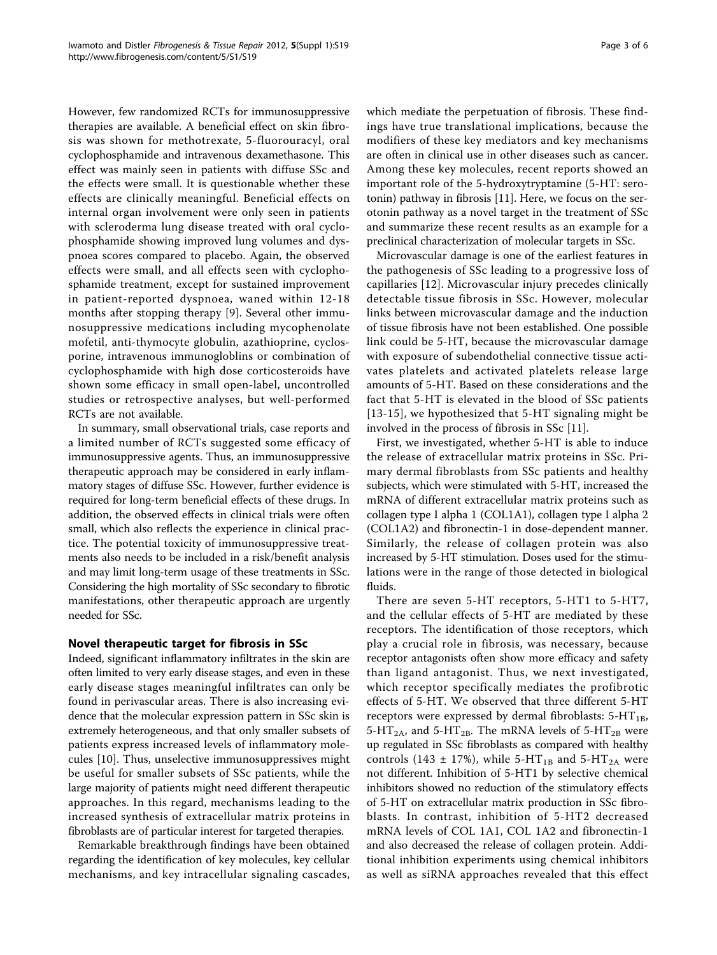However, few randomized RCTs for immunosuppressive therapies are available. A beneficial effect on skin fibrosis was shown for methotrexate, 5-fluorouracyl, oral cyclophosphamide and intravenous dexamethasone. This effect was mainly seen in patients with diffuse SSc and the effects were small. It is questionable whether these effects are clinically meaningful. Beneficial effects on internal organ involvement were only seen in patients with scleroderma lung disease treated with oral cyclophosphamide showing improved lung volumes and dyspnoea scores compared to placebo. Again, the observed effects were small, and all effects seen with cyclophosphamide treatment, except for sustained improvement in patient-reported dyspnoea, waned within 12-18 months after stopping therapy [\[9](#page-5-0)]. Several other immunosuppressive medications including mycophenolate mofetil, anti-thymocyte globulin, azathioprine, cyclosporine, intravenous immunogloblins or combination of cyclophosphamide with high dose corticosteroids have shown some efficacy in small open-label, uncontrolled studies or retrospective analyses, but well-performed RCTs are not available.

In summary, small observational trials, case reports and a limited number of RCTs suggested some efficacy of immunosuppressive agents. Thus, an immunosuppressive therapeutic approach may be considered in early inflammatory stages of diffuse SSc. However, further evidence is required for long-term beneficial effects of these drugs. In addition, the observed effects in clinical trials were often small, which also reflects the experience in clinical practice. The potential toxicity of immunosuppressive treatments also needs to be included in a risk/benefit analysis and may limit long-term usage of these treatments in SSc. Considering the high mortality of SSc secondary to fibrotic manifestations, other therapeutic approach are urgently needed for SSc.

# Novel therapeutic target for fibrosis in SSc

Indeed, significant inflammatory infiltrates in the skin are often limited to very early disease stages, and even in these early disease stages meaningful infiltrates can only be found in perivascular areas. There is also increasing evidence that the molecular expression pattern in SSc skin is extremely heterogeneous, and that only smaller subsets of patients express increased levels of inflammatory molecules [[10\]](#page-5-0). Thus, unselective immunosuppressives might be useful for smaller subsets of SSc patients, while the large majority of patients might need different therapeutic approaches. In this regard, mechanisms leading to the increased synthesis of extracellular matrix proteins in fibroblasts are of particular interest for targeted therapies.

Remarkable breakthrough findings have been obtained regarding the identification of key molecules, key cellular mechanisms, and key intracellular signaling cascades, which mediate the perpetuation of fibrosis. These findings have true translational implications, because the modifiers of these key mediators and key mechanisms are often in clinical use in other diseases such as cancer. Among these key molecules, recent reports showed an important role of the 5-hydroxytryptamine (5-HT: serotonin) pathway in fibrosis [\[11\]](#page-5-0). Here, we focus on the serotonin pathway as a novel target in the treatment of SSc and summarize these recent results as an example for a preclinical characterization of molecular targets in SSc.

Microvascular damage is one of the earliest features in the pathogenesis of SSc leading to a progressive loss of capillaries [[12](#page-5-0)]. Microvascular injury precedes clinically detectable tissue fibrosis in SSc. However, molecular links between microvascular damage and the induction of tissue fibrosis have not been established. One possible link could be 5-HT, because the microvascular damage with exposure of subendothelial connective tissue activates platelets and activated platelets release large amounts of 5-HT. Based on these considerations and the fact that 5-HT is elevated in the blood of SSc patients [[13](#page-5-0)-[15](#page-5-0)], we hypothesized that 5-HT signaling might be involved in the process of fibrosis in SSc [\[11](#page-5-0)].

First, we investigated, whether 5-HT is able to induce the release of extracellular matrix proteins in SSc. Primary dermal fibroblasts from SSc patients and healthy subjects, which were stimulated with 5-HT, increased the mRNA of different extracellular matrix proteins such as collagen type I alpha 1 (COL1A1), collagen type I alpha 2 (COL1A2) and fibronectin-1 in dose-dependent manner. Similarly, the release of collagen protein was also increased by 5-HT stimulation. Doses used for the stimulations were in the range of those detected in biological fluids.

There are seven 5-HT receptors, 5-HT1 to 5-HT7, and the cellular effects of 5-HT are mediated by these receptors. The identification of those receptors, which play a crucial role in fibrosis, was necessary, because receptor antagonists often show more efficacy and safety than ligand antagonist. Thus, we next investigated, which receptor specifically mediates the profibrotic effects of 5-HT. We observed that three different 5-HT receptors were expressed by dermal fibroblasts:  $5-HT_{1B}$ , 5-HT<sub>2A</sub>, and 5-HT<sub>2B</sub>. The mRNA levels of 5-HT<sub>2B</sub> were up regulated in SSc fibroblasts as compared with healthy controls (143  $\pm$  17%), while 5-HT<sub>1B</sub> and 5-HT<sub>2A</sub> were not different. Inhibition of 5-HT1 by selective chemical inhibitors showed no reduction of the stimulatory effects of 5-HT on extracellular matrix production in SSc fibroblasts. In contrast, inhibition of 5-HT2 decreased mRNA levels of COL 1A1, COL 1A2 and fibronectin-1 and also decreased the release of collagen protein. Additional inhibition experiments using chemical inhibitors as well as siRNA approaches revealed that this effect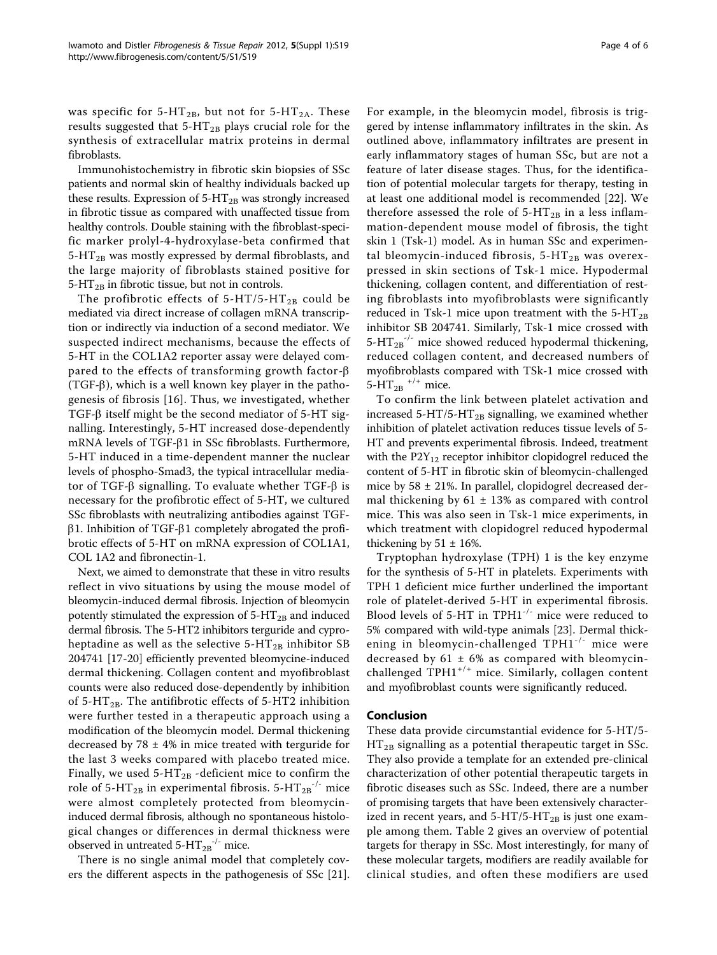Page 4 of 6

was specific for  $5-HT_{2B}$ , but not for  $5-HT_{2A}$ . These results suggested that  $5-HT_{2B}$  plays crucial role for the synthesis of extracellular matrix proteins in dermal fibroblasts.

Immunohistochemistry in fibrotic skin biopsies of SSc patients and normal skin of healthy individuals backed up these results. Expression of  $5-HT_{2B}$  was strongly increased in fibrotic tissue as compared with unaffected tissue from healthy controls. Double staining with the fibroblast-specific marker prolyl-4-hydroxylase-beta confirmed that 5-HT<sub>2B</sub> was mostly expressed by dermal fibroblasts, and the large majority of fibroblasts stained positive for  $5$ -HT<sub>2B</sub> in fibrotic tissue, but not in controls.

The profibrotic effects of  $5-HT/5-HT_{2B}$  could be mediated via direct increase of collagen mRNA transcription or indirectly via induction of a second mediator. We suspected indirect mechanisms, because the effects of 5-HT in the COL1A2 reporter assay were delayed compared to the effects of transforming growth factor- $\beta$  $(TGF-\beta)$ , which is a well known key player in the pathogenesis of fibrosis [[16](#page-5-0)]. Thus, we investigated, whether TGF- $\beta$  itself might be the second mediator of 5-HT signalling. Interestingly, 5-HT increased dose-dependently mRNA levels of TGF- $\beta$ 1 in SSc fibroblasts. Furthermore, 5-HT induced in a time-dependent manner the nuclear levels of phospho-Smad3, the typical intracellular mediator of TGF- $\beta$  signalling. To evaluate whether TGF- $\beta$  is necessary for the profibrotic effect of 5-HT, we cultured SSc fibroblasts with neutralizing antibodies against TGF- $\beta$ 1. Inhibition of TGF- $\beta$ 1 completely abrogated the profibrotic effects of 5-HT on mRNA expression of COL1A1, COL 1A2 and fibronectin-1.

Next, we aimed to demonstrate that these in vitro results reflect in vivo situations by using the mouse model of bleomycin-induced dermal fibrosis. Injection of bleomycin potently stimulated the expression of  $5\text{-} \mathrm{HT}_{2\mathrm{B}}$  and induced dermal fibrosis. The 5-HT2 inhibitors terguride and cyproheptadine as well as the selective  $5-HT_{2B}$  inhibitor SB 204741 [\[17](#page-5-0)-[20\]](#page-5-0) efficiently prevented bleomycine-induced dermal thickening. Collagen content and myofibroblast counts were also reduced dose-dependently by inhibition of 5-HT<sub>2B</sub>. The antifibrotic effects of 5-HT2 inhibition were further tested in a therapeutic approach using a modification of the bleomycin model. Dermal thickening decreased by 78  $\pm$  4% in mice treated with terguride for the last 3 weeks compared with placebo treated mice. Finally, we used  $5-HT_{2B}$  -deficient mice to confirm the role of 5-HT<sub>2B</sub> in experimental fibrosis. 5-HT<sub>2B</sub><sup>-/-</sup> mice were almost completely protected from bleomycininduced dermal fibrosis, although no spontaneous histological changes or differences in dermal thickness were observed in untreated 5- $HT_{2B}^{-/-}$  mice.

There is no single animal model that completely covers the different aspects in the pathogenesis of SSc [\[21](#page-5-0)]. For example, in the bleomycin model, fibrosis is triggered by intense inflammatory infiltrates in the skin. As outlined above, inflammatory infiltrates are present in early inflammatory stages of human SSc, but are not a feature of later disease stages. Thus, for the identification of potential molecular targets for therapy, testing in at least one additional model is recommended [[22](#page-5-0)]. We therefore assessed the role of  $5-HT_{2B}$  in a less inflammation-dependent mouse model of fibrosis, the tight skin 1 (Tsk-1) model. As in human SSc and experimental bleomycin-induced fibrosis,  $5-HT_{2B}$  was overexpressed in skin sections of Tsk-1 mice. Hypodermal thickening, collagen content, and differentiation of resting fibroblasts into myofibroblasts were significantly reduced in Tsk-1 mice upon treatment with the  $5-HT_{2B}$ inhibitor SB 204741. Similarly, Tsk-1 mice crossed with  $5-HT_{2B}$ <sup>-/-</sup> mice showed reduced hypodermal thickening, reduced collagen content, and decreased numbers of myofibroblasts compared with TSk-1 mice crossed with 5-HT<sub>2B</sub>  $^{+/+}$  mice.

To confirm the link between platelet activation and increased  $5-HT/5-HT_{2B}$  signalling, we examined whether inhibition of platelet activation reduces tissue levels of 5- HT and prevents experimental fibrosis. Indeed, treatment with the  $P2Y_{12}$  receptor inhibitor clopidogrel reduced the content of 5-HT in fibrotic skin of bleomycin-challenged mice by 58 ± 21%. In parallel, clopidogrel decreased dermal thickening by  $61 \pm 13\%$  as compared with control mice. This was also seen in Tsk-1 mice experiments, in which treatment with clopidogrel reduced hypodermal thickening by  $51 \pm 16\%$ .

Tryptophan hydroxylase (TPH) 1 is the key enzyme for the synthesis of 5-HT in platelets. Experiments with TPH 1 deficient mice further underlined the important role of platelet-derived 5-HT in experimental fibrosis. Blood levels of 5-HT in TPH1 $^{-/-}$  mice were reduced to 5% compared with wild-type animals [[23\]](#page-5-0). Dermal thickening in bleomycin-challenged TPH1<sup>-/-</sup> mice were decreased by  $61 \pm 6\%$  as compared with bleomycinchallenged  $TPH1^{+/+}$  mice. Similarly, collagen content and myofibroblast counts were significantly reduced.

## Conclusion

These data provide circumstantial evidence for 5-HT/5-  $HT<sub>2B</sub>$  signalling as a potential therapeutic target in SSc. They also provide a template for an extended pre-clinical characterization of other potential therapeutic targets in fibrotic diseases such as SSc. Indeed, there are a number of promising targets that have been extensively characterized in recent years, and  $5-HT/5-HT_{2B}$  is just one example among them. Table [2](#page-4-0) gives an overview of potential targets for therapy in SSc. Most interestingly, for many of these molecular targets, modifiers are readily available for clinical studies, and often these modifiers are used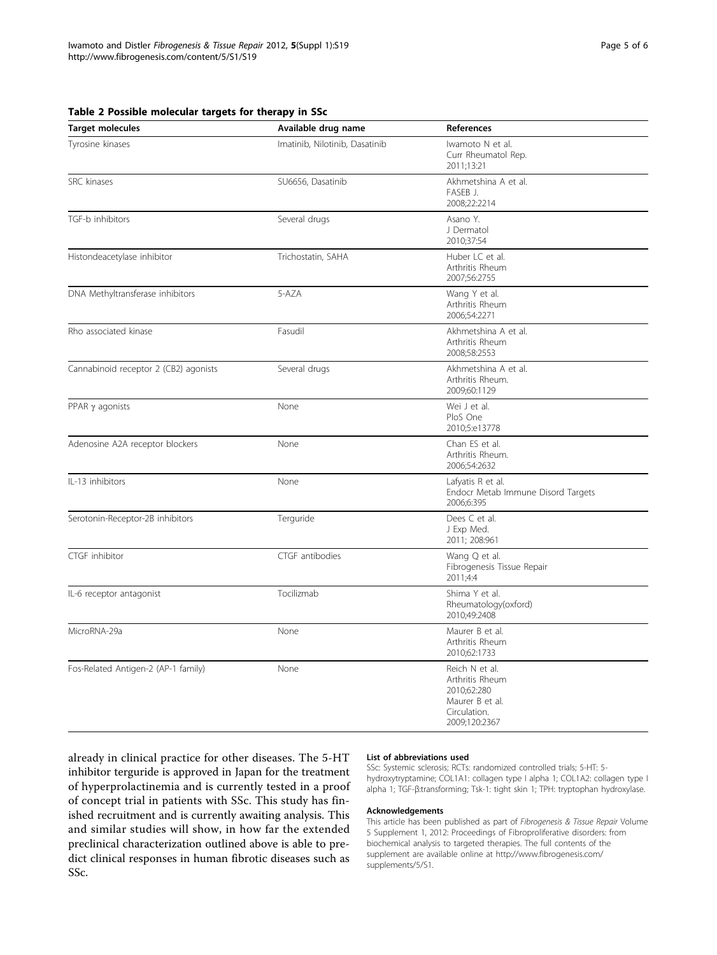| Page 5 of 6 |  |  |  |
|-------------|--|--|--|
|-------------|--|--|--|

| <b>Target molecules</b>               | Available drug name            | References<br>Iwamoto N et al.<br>Curr Rheumatol Rep.<br>2011;13:21                                  |  |  |
|---------------------------------------|--------------------------------|------------------------------------------------------------------------------------------------------|--|--|
| Tyrosine kinases                      | Imatinib, Nilotinib, Dasatinib |                                                                                                      |  |  |
| SRC kinases                           | SU6656, Dasatinib              | Akhmetshina A et al.<br>FASEB J.<br>2008;22:2214                                                     |  |  |
| TGF-b inhibitors                      | Several drugs                  | Asano Y.<br>J Dermatol<br>2010;37:54                                                                 |  |  |
| Histondeacetylase inhibitor           | Trichostatin, SAHA             | Huber LC et al.<br>Arthritis Rheum<br>2007;56:2755                                                   |  |  |
| DNA Methyltransferase inhibitors      | 5-AZA                          | Wang Y et al.<br>Arthritis Rheum<br>2006;54:2271                                                     |  |  |
| Rho associated kinase                 | Fasudil                        | Akhmetshina A et al.<br>Arthritis Rheum<br>2008;58:2553                                              |  |  |
| Cannabinoid receptor 2 (CB2) agonists | Several drugs                  | Akhmetshina A et al.<br>Arthritis Rheum.<br>2009;60:1129                                             |  |  |
| PPAR $\gamma$ agonists                | None                           | Wei J et al.<br>PloS One<br>2010;5:e13778                                                            |  |  |
| Adenosine A2A receptor blockers       | None                           | Chan ES et al.<br>Arthritis Rheum.<br>2006;54:2632                                                   |  |  |
| IL-13 inhibitors                      | None                           | Lafyatis R et al.<br>Endocr Metab Immune Disord Targets<br>2006;6:395                                |  |  |
| Serotonin-Receptor-2B inhibitors      | Terguride                      | Dees C et al.<br>J Exp Med.<br>2011; 208:961                                                         |  |  |
| CTGF inhibitor                        | CTGF antibodies                | Wang Q et al.<br>Fibrogenesis Tissue Repair<br>2011;4:4                                              |  |  |
| IL-6 receptor antagonist              | Tocilizmab                     | Shima Y et al.<br>Rheumatology(oxford)<br>2010;49:2408                                               |  |  |
| MicroRNA-29a                          | None                           | Maurer B et al.<br>Arthritis Rheum<br>2010;62:1733                                                   |  |  |
| Fos-Related Antigen-2 (AP-1 family)   | None                           | Reich N et al.<br>Arthritis Rheum<br>2010;62:280<br>Maurer B et al.<br>Circulation.<br>2009;120:2367 |  |  |

## <span id="page-4-0"></span>Table 2 Possible molecular targets for therapy in SSc

already in clinical practice for other diseases. The 5-HT inhibitor terguride is approved in Japan for the treatment of hyperprolactinemia and is currently tested in a proof of concept trial in patients with SSc. This study has finished recruitment and is currently awaiting analysis. This and similar studies will show, in how far the extended preclinical characterization outlined above is able to predict clinical responses in human fibrotic diseases such as SSc.

### List of abbreviations used

SSc: Systemic sclerosis; RCTs: randomized controlled trials; 5-HT: 5 hydroxytryptamine; COL1A1: collagen type I alpha 1; COL1A2: collagen type I alpha 1; TGF-β:transforming; Tsk-1: tight skin 1; TPH: tryptophan hydroxylase.

### Acknowledgements

This article has been published as part of Fibrogenesis & Tissue Repair Volume 5 Supplement 1, 2012: Proceedings of Fibroproliferative disorders: from biochemical analysis to targeted therapies. The full contents of the supplement are available online at [http://www.fibrogenesis.com/](http://www.fibrogenesis.com/supplements/5/S1) [supplements/5/S1.](http://www.fibrogenesis.com/supplements/5/S1)